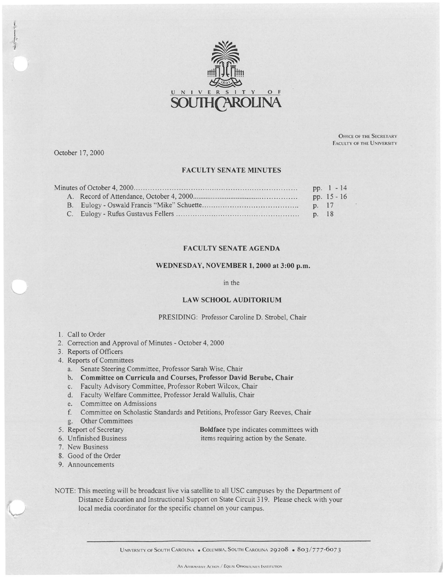

October 17, 2000

OFFICE OF THE SECRETARY FACULTY OF THE UNIVERSITY

#### **FA CUL TY SENATE MINUTES**

|  |       | pp. $1 - 14$  |  |
|--|-------|---------------|--|
|  |       | pp. $15 - 16$ |  |
|  | p. 17 |               |  |
|  | p. 18 |               |  |

## **FACULTY SENATE AGENDA**

#### **WEDNESDAY, NOVEMBER 1, 2000 at 3:00 p.m.**

in the

# **LAW SCHOOL AUDITORIUM**

# PRESIDING: Professor Caroline D. Strobel, Chair

**Boldface** type indicates committees with items requiring action by the Senate.

- 1. Call to Order
- 2. Correction and Approval of Minutes October 4, 2000
- 3. Reports of Officers
- 4. Reports of Committees
	- a. Senate Steering Committee, Professor Sarah Wise, Chair
	- b. **Committee on Curricula and Courses, Professor David Berube, Chair**
	- c. Faculty Advisory Committee, Professor Robert Wilcox, Chair
	- d. Faculty Welfare Committee, Professor Jerald Wallulis, Chair
	- e. Committee on Admissions
	- f. Committee on Scholastic Standards and Petitions, Professor Gary Reeves, Chair g. Other Committees
- 5. Report of Secretary
- 6. Unfinished Business
- 7. New Business
- 8. Good of the Order
- 9. Announcements
- NOTE: This meeting will be broadcast live via satellite to all USC campuses by the Department of Distance Education and Instructional Support on State Circuit 319. Please check with your local media coordinator for the specific channel on your campus.